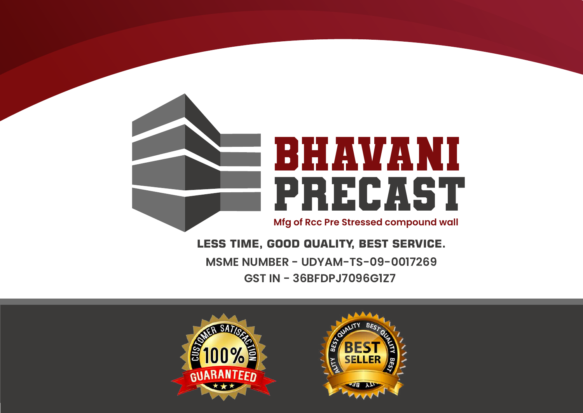

**MSME NUMBER - UDYAM-TS-09-0017269 GST IN - 36BFDPJ7096G1Z7 LESS TIME, GOOD QUALITY, BEST SERVICE.**



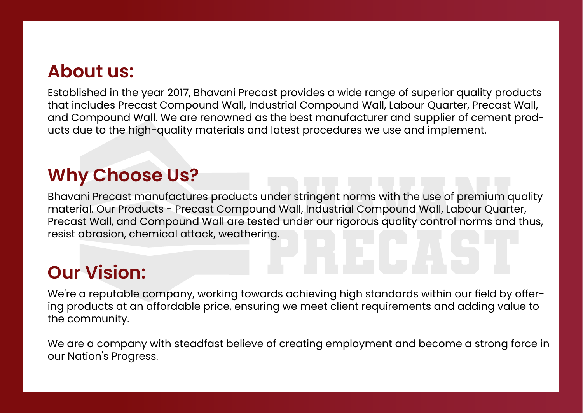## **About us:**

Established in the year 2017, Bhavani Precast provides a wide range of superior quality products that includes Precast Compound Wall, Industrial Compound Wall, Labour Quarter, Precast Wall, and Compound Wall. We are renowned as the best manufacturer and supplier of cement products due to the high-quality materials and latest procedures we use and implement.

## **Why Choose Us?**

inder stringent norms with the use of premium q<br>hd Wall, Industrial Compound Wall, Labour Quart<br>ed under our rigorous quality control norms and: Precast Wall, and Compound Wall are tested under our rigorous quality control norms and thus,<br>resist abrasion, chemical attack, weathering.<br>**Our Vision:** Bhavani Precast manufactures products under stringent norms with the use of premium quality material. Our Products - Precast Compound Wall, Industrial Compound Wall, Labour Quarter, resist abrasion, chemical attack, weathering.

## **Our Vision:**

We're a reputable company, working towards achieving high standards within our field by offering products at an affordable price, ensuring we meet client requirements and adding value to the community.

We are a company with steadfast believe of creating employment and become a strong force in our Nation's Progress.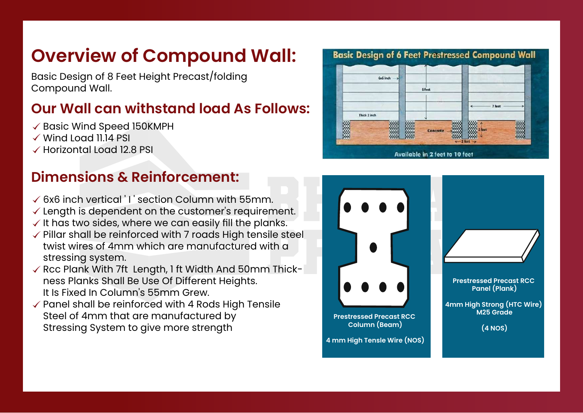## **Overview of Compound Wall:**

Basic Design of 8 Feet Height Precast/folding Compound Wall.

### **Our Wall can withstand load As Follows:**

- $\checkmark$  Basic Wind Speed 150KMPH
- $\checkmark$  Wind Load 11.14 PSI
- $\checkmark$  Horizontal Load 12.8 PSI

### **Dimensions & Reinforcement:**

- $\checkmark$  6x6 inch vertical 'I section Column with 55mm.
- $\checkmark$  length is dependent on the customer's requirement.
- $\checkmark$  It has two sides, where we can easily fill the planks.
- $\checkmark$  Pillar shall be reinforced with 7 roads High tensile steel twist wires of 4mm which are manufactured with a stressing system.
- $\checkmark$  Rcc Plank With 7ft Length, 1 ft Width And 50mm Thickness Planks Shall Be Use Of Different Heights. It Is Fixed In Column's 55mm Grew.
- $\checkmark$  Panel shall be reinforced with 4 Rods High Tensile Steel of 4mm that are manufactured by Stressing System to give more strength



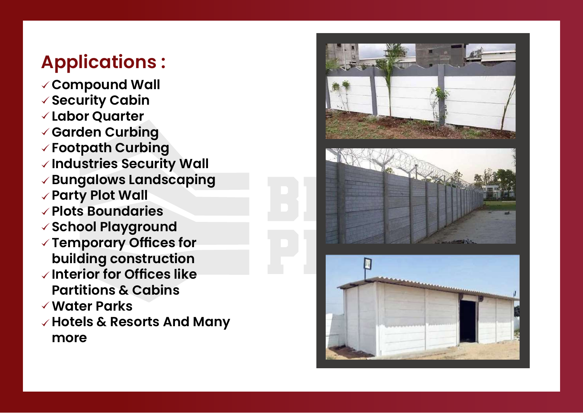# **Applications :**

**Compound Wall Security Cabin Labor Quarter Garden Curbing Footpath Curbing Industries Security Wall Bungalows Landscaping Party Plot Wall Plots Boundaries School Playground Temporary Offices for building construction Interior for Offices like Partitions & Cabins Water Parks Hotels & Resorts And Many more**

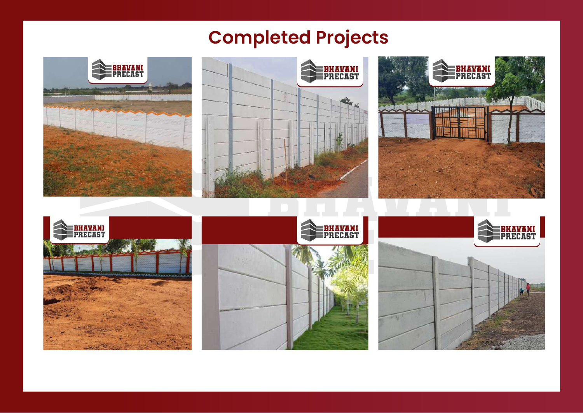# **Completed Projects**







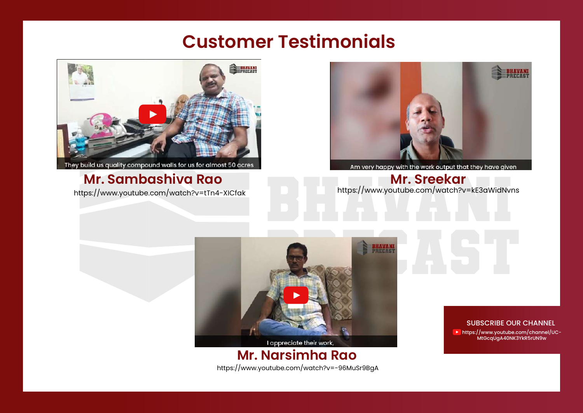## **Customer Testimonials**



They build us quality compound walls for us for almost 50 acres

### https://www.youtube.com/watch?v=tTn4-XICfak **Mr. Sambashiva Rao**



Am very happy with the work output that they have given<br>**Mr. Sreekar**<br>https://www.youtube.com/watch?v=kE3aWidNvns



#### https://www.youtube.com/watch?v=-96MuSr9BgA **Mr. Narsimha Rao**

#### SUBSCRIBE OUR CHANNEL

https://www.youtube.com/channel/UC-MtGcqUgA40NK3YkR5rUN9w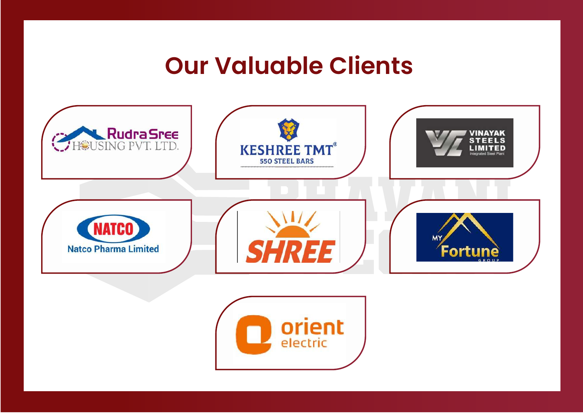# **Our Valuable Clients**